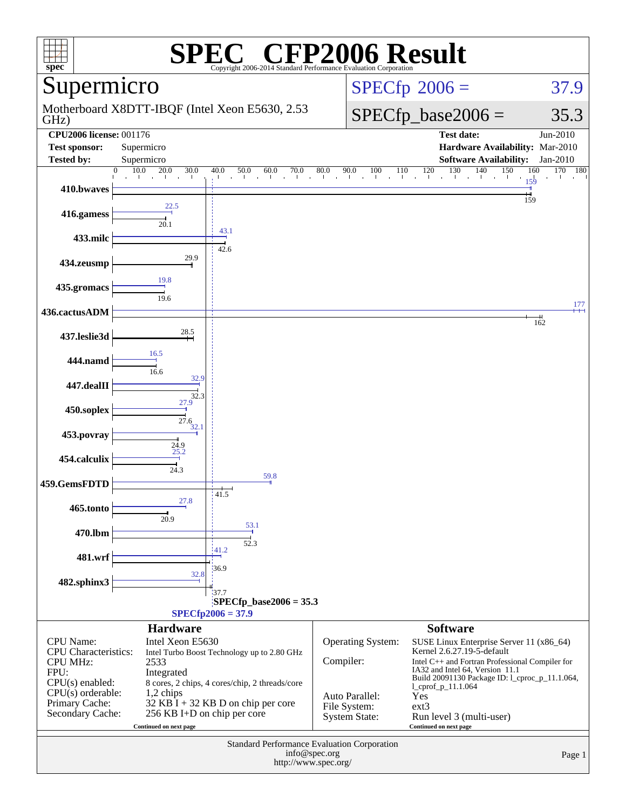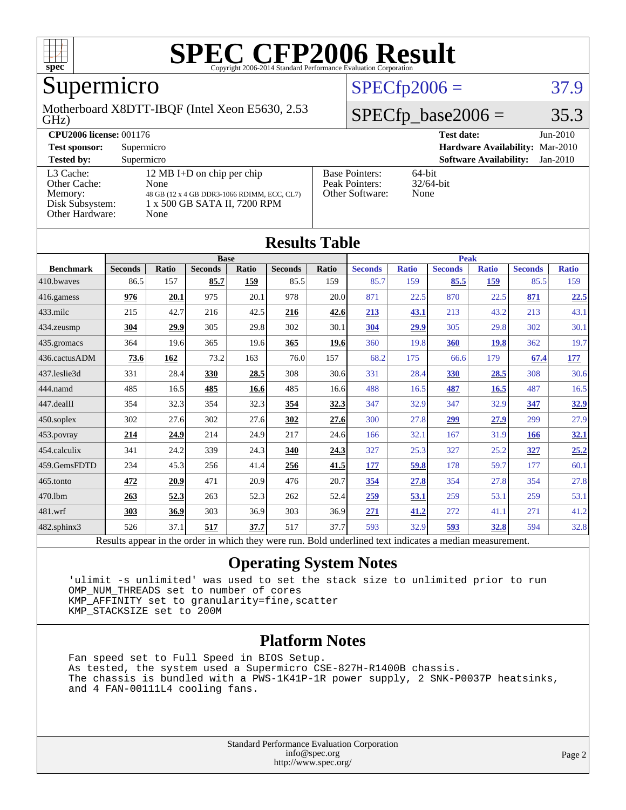

## Supermicro

#### GHz) Motherboard X8DTT-IBQF (Intel Xeon E5630, 2.53

#### $SPECfp2006 = 37.9$  $SPECfp2006 = 37.9$

#### $SPECfp\_base2006 = 35.3$

| <b>CPU2006 license: 001176</b>                                             |                                                                                                                           |                                                            | <b>Test date:</b><br>$Jun-2010$             |  |
|----------------------------------------------------------------------------|---------------------------------------------------------------------------------------------------------------------------|------------------------------------------------------------|---------------------------------------------|--|
| <b>Test sponsor:</b>                                                       | Supermicro                                                                                                                |                                                            | Hardware Availability: Mar-2010             |  |
| <b>Tested by:</b>                                                          | Supermicro                                                                                                                |                                                            | <b>Software Availability:</b><br>$Jan-2010$ |  |
| L3 Cache:<br>Other Cache:<br>Memory:<br>Disk Subsystem:<br>Other Hardware: | 12 MB I+D on chip per chip<br>None<br>48 GB (12 x 4 GB DDR3-1066 RDIMM, ECC, CL7)<br>1 x 500 GB SATA II, 7200 RPM<br>None | <b>Base Pointers:</b><br>Peak Pointers:<br>Other Software: | $64$ -bit<br>$32/64$ -bit<br>None           |  |

**[Results Table](http://www.spec.org/auto/cpu2006/Docs/result-fields.html#ResultsTable)**

| Results Table                                                                                            |                |       |                |       |                |       |                |              |                |              |                |              |
|----------------------------------------------------------------------------------------------------------|----------------|-------|----------------|-------|----------------|-------|----------------|--------------|----------------|--------------|----------------|--------------|
|                                                                                                          |                |       | <b>Base</b>    |       |                |       | <b>Peak</b>    |              |                |              |                |              |
| <b>Benchmark</b>                                                                                         | <b>Seconds</b> | Ratio | <b>Seconds</b> | Ratio | <b>Seconds</b> | Ratio | <b>Seconds</b> | <b>Ratio</b> | <b>Seconds</b> | <b>Ratio</b> | <b>Seconds</b> | <b>Ratio</b> |
| 410.bwaves                                                                                               | 86.5           | 157   | 85.7           | 159   | 85.5           | 159   | 85.7           | 159          | 85.5           | 159          | 85.5           | 159          |
| 416.gamess                                                                                               | 976            | 20.1  | 975            | 20.1  | 978            | 20.0  | 871            | 22.5         | 870            | 22.5         | 871            | 22.5         |
| $433$ .milc                                                                                              | 215            | 42.7  | 216            | 42.5  | 216            | 42.6  | 213            | 43.1         | 213            | 43.2         | 213            | 43.1         |
| 434.zeusmp                                                                                               | 304            | 29.9  | 305            | 29.8  | 302            | 30.1  | 304            | 29.9         | 305            | 29.8         | 302            | 30.1         |
| 435.gromacs                                                                                              | 364            | 19.6  | 365            | 19.6  | 365            | 19.6  | 360            | 19.8         | 360            | <b>19.8</b>  | 362            | 19.7         |
| 436.cactusADM                                                                                            | 73.6           | 162   | 73.2           | 163   | 76.0           | 157   | 68.2           | 175          | 66.6           | 179          | 67.4           | 177          |
| 437.leslie3d                                                                                             | 331            | 28.4  | <b>330</b>     | 28.5  | 308            | 30.6  | 331            | 28.4         | <b>330</b>     | 28.5         | 308            | 30.6         |
| 444.namd                                                                                                 | 485            | 16.5  | 485            | 16.6  | 485            | 16.6  | 488            | 16.5         | 487            | 16.5         | 487            | 16.5         |
| 447.dealII                                                                                               | 354            | 32.3  | 354            | 32.3  | 354            | 32.3  | 347            | 32.9         | 347            | 32.9         | 347            | 32.9         |
| $450$ .soplex                                                                                            | 302            | 27.6  | 302            | 27.6  | 302            | 27.6  | 300            | 27.8         | 299            | 27.9         | 299            | 27.9         |
| 453.povray                                                                                               | 214            | 24.9  | 214            | 24.9  | 217            | 24.6  | 166            | 32.1         | 167            | 31.9         | 166            | 32.1         |
| 454.calculix                                                                                             | 341            | 24.2  | 339            | 24.3  | 340            | 24.3  | 327            | 25.3         | 327            | 25.2         | 327            | 25.2         |
| 459.GemsFDTD                                                                                             | 234            | 45.3  | 256            | 41.4  | 256            | 41.5  | 177            | 59.8         | 178            | 59.7         | 177            | 60.1         |
| $465$ .tonto                                                                                             | 472            | 20.9  | 471            | 20.9  | 476            | 20.7  | 354            | 27.8         | 354            | 27.8         | 354            | 27.8         |
| 470.1bm                                                                                                  | 263            | 52.3  | 263            | 52.3  | 262            | 52.4  | 259            | 53.1         | 259            | 53.1         | 259            | 53.1         |
| 481.wrf                                                                                                  | 303            | 36.9  | 303            | 36.9  | 303            | 36.9  | 271            | 41.2         | 272            | 41.1         | 271            | 41.2         |
| 482.sphinx3                                                                                              | 526            | 37.1  | 517            | 37.7  | 517            | 37.7  | 593            | 32.9         | 593            | 32.8         | 594            | 32.8         |
| Results appear in the order in which they were run. Bold underlined text indicates a median measurement. |                |       |                |       |                |       |                |              |                |              |                |              |

#### **[Operating System Notes](http://www.spec.org/auto/cpu2006/Docs/result-fields.html#OperatingSystemNotes)**

 'ulimit -s unlimited' was used to set the stack size to unlimited prior to run OMP\_NUM\_THREADS set to number of cores KMP\_AFFINITY set to granularity=fine,scatter KMP\_STACKSIZE set to 200M

#### **[Platform Notes](http://www.spec.org/auto/cpu2006/Docs/result-fields.html#PlatformNotes)**

 Fan speed set to Full Speed in BIOS Setup. As tested, the system used a Supermicro CSE-827H-R1400B chassis. The chassis is bundled with a PWS-1K41P-1R power supply, 2 SNK-P0037P heatsinks, and 4 FAN-00111L4 cooling fans.

> Standard Performance Evaluation Corporation [info@spec.org](mailto:info@spec.org) <http://www.spec.org/>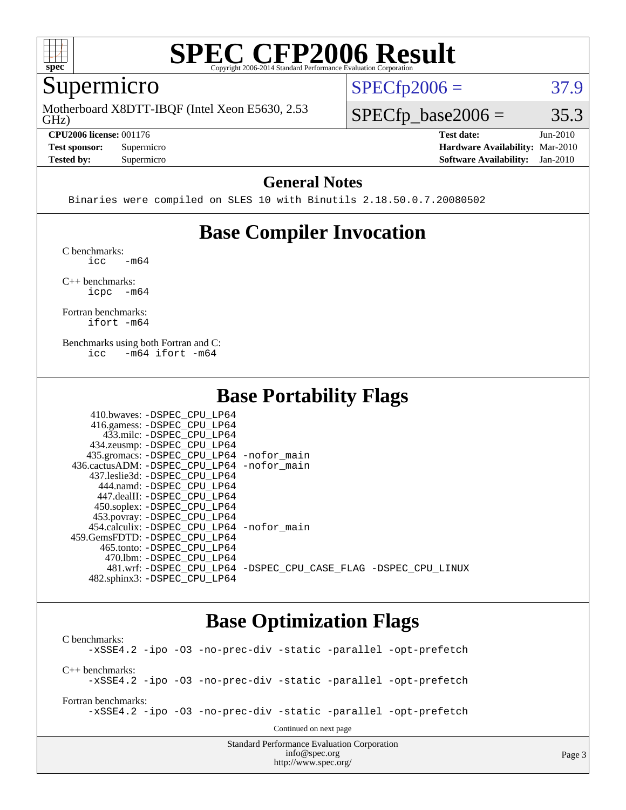

## Supermicro

GHz) Motherboard X8DTT-IBQF (Intel Xeon E5630, 2.53

**[CPU2006 license:](http://www.spec.org/auto/cpu2006/Docs/result-fields.html#CPU2006license)** 001176 **[Test date:](http://www.spec.org/auto/cpu2006/Docs/result-fields.html#Testdate)** Jun-2010

**[Tested by:](http://www.spec.org/auto/cpu2006/Docs/result-fields.html#Testedby)** Supermicro **[Software Availability:](http://www.spec.org/auto/cpu2006/Docs/result-fields.html#SoftwareAvailability)** Jan-2010

 $SPECTp2006 = 37.9$ 

 $SPECTp\_base2006 = 35.3$ 

**[Test sponsor:](http://www.spec.org/auto/cpu2006/Docs/result-fields.html#Testsponsor)** Supermicro **[Hardware Availability:](http://www.spec.org/auto/cpu2006/Docs/result-fields.html#HardwareAvailability)** Mar-2010

#### **[General Notes](http://www.spec.org/auto/cpu2006/Docs/result-fields.html#GeneralNotes)**

Binaries were compiled on SLES 10 with Binutils 2.18.50.0.7.20080502

### **[Base Compiler Invocation](http://www.spec.org/auto/cpu2006/Docs/result-fields.html#BaseCompilerInvocation)**

[C benchmarks](http://www.spec.org/auto/cpu2006/Docs/result-fields.html#Cbenchmarks):  $\text{icc}$   $-\text{m64}$ 

[C++ benchmarks:](http://www.spec.org/auto/cpu2006/Docs/result-fields.html#CXXbenchmarks) [icpc -m64](http://www.spec.org/cpu2006/results/res2010q3/cpu2006-20100621-11946.flags.html#user_CXXbase_intel_icpc_64bit_bedb90c1146cab66620883ef4f41a67e)

[Fortran benchmarks](http://www.spec.org/auto/cpu2006/Docs/result-fields.html#Fortranbenchmarks): [ifort -m64](http://www.spec.org/cpu2006/results/res2010q3/cpu2006-20100621-11946.flags.html#user_FCbase_intel_ifort_64bit_ee9d0fb25645d0210d97eb0527dcc06e)

[Benchmarks using both Fortran and C](http://www.spec.org/auto/cpu2006/Docs/result-fields.html#BenchmarksusingbothFortranandC): [icc -m64](http://www.spec.org/cpu2006/results/res2010q3/cpu2006-20100621-11946.flags.html#user_CC_FCbase_intel_icc_64bit_0b7121f5ab7cfabee23d88897260401c) [ifort -m64](http://www.spec.org/cpu2006/results/res2010q3/cpu2006-20100621-11946.flags.html#user_CC_FCbase_intel_ifort_64bit_ee9d0fb25645d0210d97eb0527dcc06e)

#### **[Base Portability Flags](http://www.spec.org/auto/cpu2006/Docs/result-fields.html#BasePortabilityFlags)**

| 410.bwaves: -DSPEC CPU LP64                |                                                                |
|--------------------------------------------|----------------------------------------------------------------|
| 416.gamess: -DSPEC_CPU_LP64                |                                                                |
| 433.milc: -DSPEC CPU LP64                  |                                                                |
| 434.zeusmp: -DSPEC_CPU_LP64                |                                                                |
| 435.gromacs: -DSPEC_CPU_LP64 -nofor_main   |                                                                |
| 436.cactusADM: -DSPEC CPU LP64 -nofor main |                                                                |
| 437.leslie3d: -DSPEC CPU LP64              |                                                                |
| 444.namd: -DSPEC CPU LP64                  |                                                                |
| 447.dealII: -DSPEC CPU LP64                |                                                                |
| 450.soplex: -DSPEC_CPU_LP64                |                                                                |
| 453.povray: -DSPEC_CPU_LP64                |                                                                |
| 454.calculix: -DSPEC CPU LP64 -nofor main  |                                                                |
| 459. GemsFDTD: - DSPEC CPU LP64            |                                                                |
| 465.tonto: - DSPEC CPU LP64                |                                                                |
| 470.1bm: - DSPEC CPU LP64                  |                                                                |
|                                            | 481.wrf: -DSPEC CPU_LP64 -DSPEC_CPU_CASE_FLAG -DSPEC_CPU_LINUX |
| 482.sphinx3: -DSPEC CPU LP64               |                                                                |

#### **[Base Optimization Flags](http://www.spec.org/auto/cpu2006/Docs/result-fields.html#BaseOptimizationFlags)**

Standard Performance Evaluation Corporation [C benchmarks](http://www.spec.org/auto/cpu2006/Docs/result-fields.html#Cbenchmarks): [-xSSE4.2](http://www.spec.org/cpu2006/results/res2010q3/cpu2006-20100621-11946.flags.html#user_CCbase_f-xSSE42_f91528193cf0b216347adb8b939d4107) [-ipo](http://www.spec.org/cpu2006/results/res2010q3/cpu2006-20100621-11946.flags.html#user_CCbase_f-ipo) [-O3](http://www.spec.org/cpu2006/results/res2010q3/cpu2006-20100621-11946.flags.html#user_CCbase_f-O3) [-no-prec-div](http://www.spec.org/cpu2006/results/res2010q3/cpu2006-20100621-11946.flags.html#user_CCbase_f-no-prec-div) [-static](http://www.spec.org/cpu2006/results/res2010q3/cpu2006-20100621-11946.flags.html#user_CCbase_f-static) [-parallel](http://www.spec.org/cpu2006/results/res2010q3/cpu2006-20100621-11946.flags.html#user_CCbase_f-parallel) [-opt-prefetch](http://www.spec.org/cpu2006/results/res2010q3/cpu2006-20100621-11946.flags.html#user_CCbase_f-opt-prefetch) [C++ benchmarks:](http://www.spec.org/auto/cpu2006/Docs/result-fields.html#CXXbenchmarks) [-xSSE4.2](http://www.spec.org/cpu2006/results/res2010q3/cpu2006-20100621-11946.flags.html#user_CXXbase_f-xSSE42_f91528193cf0b216347adb8b939d4107) [-ipo](http://www.spec.org/cpu2006/results/res2010q3/cpu2006-20100621-11946.flags.html#user_CXXbase_f-ipo) [-O3](http://www.spec.org/cpu2006/results/res2010q3/cpu2006-20100621-11946.flags.html#user_CXXbase_f-O3) [-no-prec-div](http://www.spec.org/cpu2006/results/res2010q3/cpu2006-20100621-11946.flags.html#user_CXXbase_f-no-prec-div) [-static](http://www.spec.org/cpu2006/results/res2010q3/cpu2006-20100621-11946.flags.html#user_CXXbase_f-static) [-parallel](http://www.spec.org/cpu2006/results/res2010q3/cpu2006-20100621-11946.flags.html#user_CXXbase_f-parallel) [-opt-prefetch](http://www.spec.org/cpu2006/results/res2010q3/cpu2006-20100621-11946.flags.html#user_CXXbase_f-opt-prefetch) [Fortran benchmarks](http://www.spec.org/auto/cpu2006/Docs/result-fields.html#Fortranbenchmarks): [-xSSE4.2](http://www.spec.org/cpu2006/results/res2010q3/cpu2006-20100621-11946.flags.html#user_FCbase_f-xSSE42_f91528193cf0b216347adb8b939d4107) [-ipo](http://www.spec.org/cpu2006/results/res2010q3/cpu2006-20100621-11946.flags.html#user_FCbase_f-ipo) [-O3](http://www.spec.org/cpu2006/results/res2010q3/cpu2006-20100621-11946.flags.html#user_FCbase_f-O3) [-no-prec-div](http://www.spec.org/cpu2006/results/res2010q3/cpu2006-20100621-11946.flags.html#user_FCbase_f-no-prec-div) [-static](http://www.spec.org/cpu2006/results/res2010q3/cpu2006-20100621-11946.flags.html#user_FCbase_f-static) [-parallel](http://www.spec.org/cpu2006/results/res2010q3/cpu2006-20100621-11946.flags.html#user_FCbase_f-parallel) [-opt-prefetch](http://www.spec.org/cpu2006/results/res2010q3/cpu2006-20100621-11946.flags.html#user_FCbase_f-opt-prefetch) Continued on next page

[info@spec.org](mailto:info@spec.org) <http://www.spec.org/>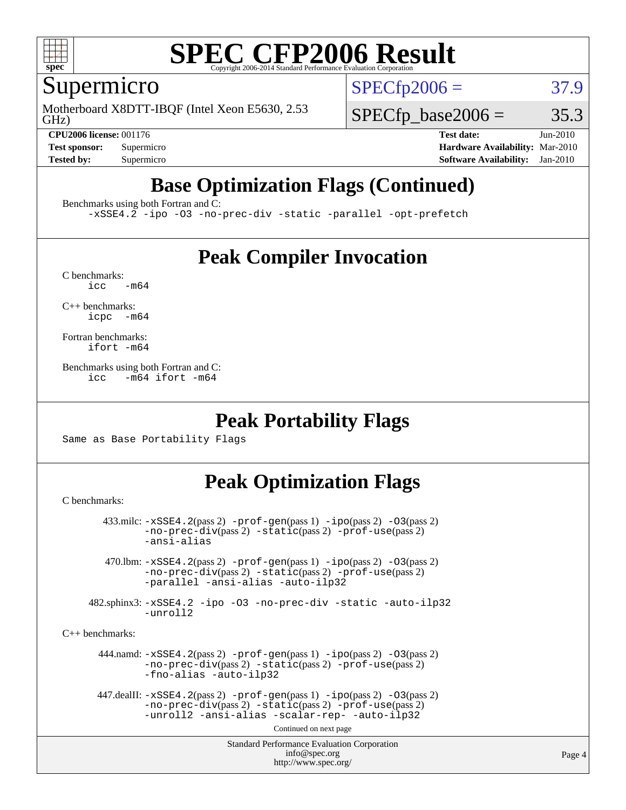

#### Supermicro

GHz) Motherboard X8DTT-IBQF (Intel Xeon E5630, 2.53  $SPECTp2006 = 37.9$ 

 $SPECTp\_base2006 = 35.3$ 

**[CPU2006 license:](http://www.spec.org/auto/cpu2006/Docs/result-fields.html#CPU2006license)** 001176 **[Test date:](http://www.spec.org/auto/cpu2006/Docs/result-fields.html#Testdate)** Jun-2010 **[Test sponsor:](http://www.spec.org/auto/cpu2006/Docs/result-fields.html#Testsponsor)** Supermicro **[Hardware Availability:](http://www.spec.org/auto/cpu2006/Docs/result-fields.html#HardwareAvailability)** Mar-2010 **[Tested by:](http://www.spec.org/auto/cpu2006/Docs/result-fields.html#Testedby)** Supermicro **[Software Availability:](http://www.spec.org/auto/cpu2006/Docs/result-fields.html#SoftwareAvailability)** Jan-2010

## **[Base Optimization Flags \(Continued\)](http://www.spec.org/auto/cpu2006/Docs/result-fields.html#BaseOptimizationFlags)**

[Benchmarks using both Fortran and C](http://www.spec.org/auto/cpu2006/Docs/result-fields.html#BenchmarksusingbothFortranandC):

[-xSSE4.2](http://www.spec.org/cpu2006/results/res2010q3/cpu2006-20100621-11946.flags.html#user_CC_FCbase_f-xSSE42_f91528193cf0b216347adb8b939d4107) [-ipo](http://www.spec.org/cpu2006/results/res2010q3/cpu2006-20100621-11946.flags.html#user_CC_FCbase_f-ipo) [-O3](http://www.spec.org/cpu2006/results/res2010q3/cpu2006-20100621-11946.flags.html#user_CC_FCbase_f-O3) [-no-prec-div](http://www.spec.org/cpu2006/results/res2010q3/cpu2006-20100621-11946.flags.html#user_CC_FCbase_f-no-prec-div) [-static](http://www.spec.org/cpu2006/results/res2010q3/cpu2006-20100621-11946.flags.html#user_CC_FCbase_f-static) [-parallel](http://www.spec.org/cpu2006/results/res2010q3/cpu2006-20100621-11946.flags.html#user_CC_FCbase_f-parallel) [-opt-prefetch](http://www.spec.org/cpu2006/results/res2010q3/cpu2006-20100621-11946.flags.html#user_CC_FCbase_f-opt-prefetch)

### **[Peak Compiler Invocation](http://www.spec.org/auto/cpu2006/Docs/result-fields.html#PeakCompilerInvocation)**

 $C$  benchmarks:<br>icc  $-m64$ 

[C++ benchmarks:](http://www.spec.org/auto/cpu2006/Docs/result-fields.html#CXXbenchmarks) [icpc -m64](http://www.spec.org/cpu2006/results/res2010q3/cpu2006-20100621-11946.flags.html#user_CXXpeak_intel_icpc_64bit_bedb90c1146cab66620883ef4f41a67e)

[Fortran benchmarks](http://www.spec.org/auto/cpu2006/Docs/result-fields.html#Fortranbenchmarks): [ifort -m64](http://www.spec.org/cpu2006/results/res2010q3/cpu2006-20100621-11946.flags.html#user_FCpeak_intel_ifort_64bit_ee9d0fb25645d0210d97eb0527dcc06e)

[Benchmarks using both Fortran and C](http://www.spec.org/auto/cpu2006/Docs/result-fields.html#BenchmarksusingbothFortranandC): [icc -m64](http://www.spec.org/cpu2006/results/res2010q3/cpu2006-20100621-11946.flags.html#user_CC_FCpeak_intel_icc_64bit_0b7121f5ab7cfabee23d88897260401c) [ifort -m64](http://www.spec.org/cpu2006/results/res2010q3/cpu2006-20100621-11946.flags.html#user_CC_FCpeak_intel_ifort_64bit_ee9d0fb25645d0210d97eb0527dcc06e)

#### **[Peak Portability Flags](http://www.spec.org/auto/cpu2006/Docs/result-fields.html#PeakPortabilityFlags)**

Same as Base Portability Flags

## **[Peak Optimization Flags](http://www.spec.org/auto/cpu2006/Docs/result-fields.html#PeakOptimizationFlags)**

[C benchmarks](http://www.spec.org/auto/cpu2006/Docs/result-fields.html#Cbenchmarks):

```
Standard Performance Evaluation Corporation
                                           info@spec.org
                                         http://www.spec.org/
        433.milc: -xSSE4.2(pass 2) -prof-gen(pass 1) -ipo(pass 2) -O3(pass 2)
                -no-prec-div(pass 2) -static(pass 2) -prof-use(pass 2)
                -ansi-alias
         470.lbm: -xSSE4.2(pass 2) -prof-gen(pass 1) -ipo(pass 2) -O3(pass 2)
                -no-prec-div(pass 2) -static(pass 2) -prof-use(pass 2)
                -parallel -ansi-alias -auto-ilp32
      482.sphinx3: -xSSE4.2 -ipo -O3 -no-prec-div -static -auto-ilp32
                -unroll2
C++ benchmarks: 
        444.namd: -xSSE4.2(pass 2) -prof-gen(pass 1) -ipo(pass 2) -O3(pass 2)
                -no-prec-div(pass 2) -static(pass 2) -prof-use(pass 2)
                -fno-alias -auto-ilp32
      447.dealII: -xSSE4. 2(pass 2)-prof-gen-ipo(pass 2) -03(pass 2)
                -no-prec-div(pass 2) -static(pass 2) -prof-use(pass 2)
                -unroll2 -ansi-alias -scalar-rep- -auto-ilp32
                                         Continued on next page
```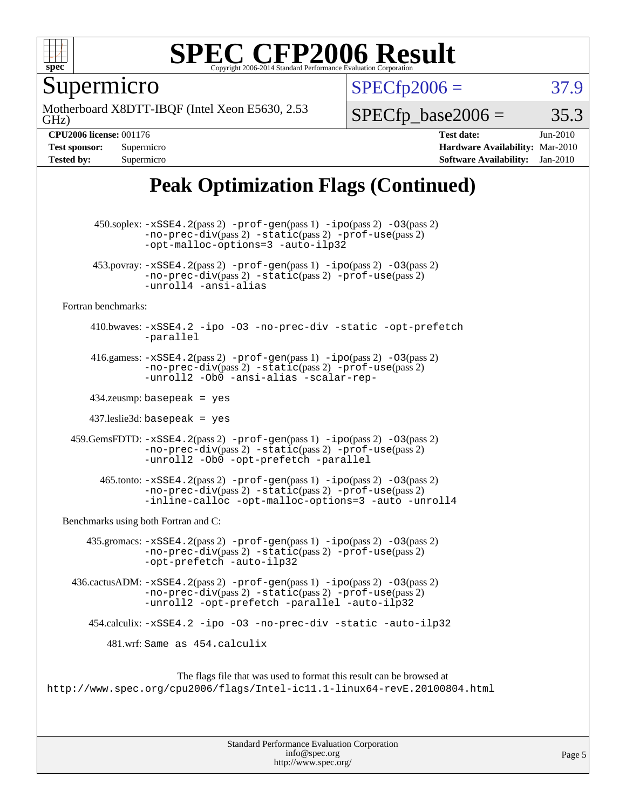

Supermicro

GHz) Motherboard X8DTT-IBQF (Intel Xeon E5630, 2.53  $SPECTp2006 = 37.9$ 

 $SPECTp\_base2006 = 35.3$ 

**[CPU2006 license:](http://www.spec.org/auto/cpu2006/Docs/result-fields.html#CPU2006license)** 001176 **[Test date:](http://www.spec.org/auto/cpu2006/Docs/result-fields.html#Testdate)** Jun-2010 **[Test sponsor:](http://www.spec.org/auto/cpu2006/Docs/result-fields.html#Testsponsor)** Supermicro **[Hardware Availability:](http://www.spec.org/auto/cpu2006/Docs/result-fields.html#HardwareAvailability)** Mar-2010 **[Tested by:](http://www.spec.org/auto/cpu2006/Docs/result-fields.html#Testedby)** Supermicro **[Software Availability:](http://www.spec.org/auto/cpu2006/Docs/result-fields.html#SoftwareAvailability)** Jan-2010

## **[Peak Optimization Flags \(Continued\)](http://www.spec.org/auto/cpu2006/Docs/result-fields.html#PeakOptimizationFlags)**

 450.soplex: [-xSSE4.2](http://www.spec.org/cpu2006/results/res2010q3/cpu2006-20100621-11946.flags.html#user_peakPASS2_CXXFLAGSPASS2_LDFLAGS450_soplex_f-xSSE42_f91528193cf0b216347adb8b939d4107)(pass 2) [-prof-gen](http://www.spec.org/cpu2006/results/res2010q3/cpu2006-20100621-11946.flags.html#user_peakPASS1_CXXFLAGSPASS1_LDFLAGS450_soplex_prof_gen_e43856698f6ca7b7e442dfd80e94a8fc)(pass 1) [-ipo](http://www.spec.org/cpu2006/results/res2010q3/cpu2006-20100621-11946.flags.html#user_peakPASS2_CXXFLAGSPASS2_LDFLAGS450_soplex_f-ipo)(pass 2) [-O3](http://www.spec.org/cpu2006/results/res2010q3/cpu2006-20100621-11946.flags.html#user_peakPASS2_CXXFLAGSPASS2_LDFLAGS450_soplex_f-O3)(pass 2) [-no-prec-div](http://www.spec.org/cpu2006/results/res2010q3/cpu2006-20100621-11946.flags.html#user_peakPASS2_CXXFLAGSPASS2_LDFLAGS450_soplex_f-no-prec-div)(pass 2) [-static](http://www.spec.org/cpu2006/results/res2010q3/cpu2006-20100621-11946.flags.html#user_peakPASS2_CXXFLAGSPASS2_LDFLAGS450_soplex_f-static)(pass 2) [-prof-use](http://www.spec.org/cpu2006/results/res2010q3/cpu2006-20100621-11946.flags.html#user_peakPASS2_CXXFLAGSPASS2_LDFLAGS450_soplex_prof_use_bccf7792157ff70d64e32fe3e1250b55)(pass 2) [-opt-malloc-options=3](http://www.spec.org/cpu2006/results/res2010q3/cpu2006-20100621-11946.flags.html#user_peakOPTIMIZE450_soplex_f-opt-malloc-options_13ab9b803cf986b4ee62f0a5998c2238) [-auto-ilp32](http://www.spec.org/cpu2006/results/res2010q3/cpu2006-20100621-11946.flags.html#user_peakCXXOPTIMIZE450_soplex_f-auto-ilp32) 453.povray:  $-xSSE4$ . 2(pass 2)  $-prof-gen(pass 1) -ipo(pass 2) -O3(pass 2)$  $-prof-gen(pass 1) -ipo(pass 2) -O3(pass 2)$  $-prof-gen(pass 1) -ipo(pass 2) -O3(pass 2)$  $-prof-gen(pass 1) -ipo(pass 2) -O3(pass 2)$  $-prof-gen(pass 1) -ipo(pass 2) -O3(pass 2)$  $-prof-gen(pass 1) -ipo(pass 2) -O3(pass 2)$ [-no-prec-div](http://www.spec.org/cpu2006/results/res2010q3/cpu2006-20100621-11946.flags.html#user_peakPASS2_CXXFLAGSPASS2_LDFLAGS453_povray_f-no-prec-div)(pass 2) [-static](http://www.spec.org/cpu2006/results/res2010q3/cpu2006-20100621-11946.flags.html#user_peakPASS2_CXXFLAGSPASS2_LDFLAGS453_povray_f-static)(pass 2) [-prof-use](http://www.spec.org/cpu2006/results/res2010q3/cpu2006-20100621-11946.flags.html#user_peakPASS2_CXXFLAGSPASS2_LDFLAGS453_povray_prof_use_bccf7792157ff70d64e32fe3e1250b55)(pass 2) [-unroll4](http://www.spec.org/cpu2006/results/res2010q3/cpu2006-20100621-11946.flags.html#user_peakCXXOPTIMIZE453_povray_f-unroll_4e5e4ed65b7fd20bdcd365bec371b81f) [-ansi-alias](http://www.spec.org/cpu2006/results/res2010q3/cpu2006-20100621-11946.flags.html#user_peakCXXOPTIMIZE453_povray_f-ansi-alias) [Fortran benchmarks](http://www.spec.org/auto/cpu2006/Docs/result-fields.html#Fortranbenchmarks): 410.bwaves: [-xSSE4.2](http://www.spec.org/cpu2006/results/res2010q3/cpu2006-20100621-11946.flags.html#user_peakOPTIMIZE410_bwaves_f-xSSE42_f91528193cf0b216347adb8b939d4107) [-ipo](http://www.spec.org/cpu2006/results/res2010q3/cpu2006-20100621-11946.flags.html#user_peakOPTIMIZE410_bwaves_f-ipo) [-O3](http://www.spec.org/cpu2006/results/res2010q3/cpu2006-20100621-11946.flags.html#user_peakOPTIMIZE410_bwaves_f-O3) [-no-prec-div](http://www.spec.org/cpu2006/results/res2010q3/cpu2006-20100621-11946.flags.html#user_peakOPTIMIZE410_bwaves_f-no-prec-div) [-static](http://www.spec.org/cpu2006/results/res2010q3/cpu2006-20100621-11946.flags.html#user_peakOPTIMIZE410_bwaves_f-static) [-opt-prefetch](http://www.spec.org/cpu2006/results/res2010q3/cpu2006-20100621-11946.flags.html#user_peakOPTIMIZE410_bwaves_f-opt-prefetch) [-parallel](http://www.spec.org/cpu2006/results/res2010q3/cpu2006-20100621-11946.flags.html#user_peakOPTIMIZE410_bwaves_f-parallel) 416.gamess:  $-xSSE4$ . 2(pass 2)  $-prof-gen(pass 1) -ipo(pass 2) -O3(pass 2)$  $-prof-gen(pass 1) -ipo(pass 2) -O3(pass 2)$  $-prof-gen(pass 1) -ipo(pass 2) -O3(pass 2)$  $-prof-gen(pass 1) -ipo(pass 2) -O3(pass 2)$  $-prof-gen(pass 1) -ipo(pass 2) -O3(pass 2)$  $-prof-gen(pass 1) -ipo(pass 2) -O3(pass 2)$ [-no-prec-div](http://www.spec.org/cpu2006/results/res2010q3/cpu2006-20100621-11946.flags.html#user_peakPASS2_FFLAGSPASS2_LDFLAGS416_gamess_f-no-prec-div)(pass 2) [-static](http://www.spec.org/cpu2006/results/res2010q3/cpu2006-20100621-11946.flags.html#user_peakPASS2_FFLAGSPASS2_LDFLAGS416_gamess_f-static)(pass 2) [-prof-use](http://www.spec.org/cpu2006/results/res2010q3/cpu2006-20100621-11946.flags.html#user_peakPASS2_FFLAGSPASS2_LDFLAGS416_gamess_prof_use_bccf7792157ff70d64e32fe3e1250b55)(pass 2) [-unroll2](http://www.spec.org/cpu2006/results/res2010q3/cpu2006-20100621-11946.flags.html#user_peakOPTIMIZE416_gamess_f-unroll_784dae83bebfb236979b41d2422d7ec2) [-Ob0](http://www.spec.org/cpu2006/results/res2010q3/cpu2006-20100621-11946.flags.html#user_peakOPTIMIZE416_gamess_f-Ob_n_fbe6f6428adb7d4b74b1e99bb2444c2d) [-ansi-alias](http://www.spec.org/cpu2006/results/res2010q3/cpu2006-20100621-11946.flags.html#user_peakOPTIMIZE416_gamess_f-ansi-alias) [-scalar-rep-](http://www.spec.org/cpu2006/results/res2010q3/cpu2006-20100621-11946.flags.html#user_peakOPTIMIZE416_gamess_f-disablescalarrep_abbcad04450fb118e4809c81d83c8a1d) 434.zeusmp: basepeak = yes 437.leslie3d: basepeak = yes 459.GemsFDTD: [-xSSE4.2](http://www.spec.org/cpu2006/results/res2010q3/cpu2006-20100621-11946.flags.html#user_peakPASS2_FFLAGSPASS2_LDFLAGS459_GemsFDTD_f-xSSE42_f91528193cf0b216347adb8b939d4107)(pass 2) [-prof-gen](http://www.spec.org/cpu2006/results/res2010q3/cpu2006-20100621-11946.flags.html#user_peakPASS1_FFLAGSPASS1_LDFLAGS459_GemsFDTD_prof_gen_e43856698f6ca7b7e442dfd80e94a8fc)(pass 1) [-ipo](http://www.spec.org/cpu2006/results/res2010q3/cpu2006-20100621-11946.flags.html#user_peakPASS2_FFLAGSPASS2_LDFLAGS459_GemsFDTD_f-ipo)(pass 2) [-O3](http://www.spec.org/cpu2006/results/res2010q3/cpu2006-20100621-11946.flags.html#user_peakPASS2_FFLAGSPASS2_LDFLAGS459_GemsFDTD_f-O3)(pass 2) [-no-prec-div](http://www.spec.org/cpu2006/results/res2010q3/cpu2006-20100621-11946.flags.html#user_peakPASS2_FFLAGSPASS2_LDFLAGS459_GemsFDTD_f-no-prec-div)(pass 2) [-static](http://www.spec.org/cpu2006/results/res2010q3/cpu2006-20100621-11946.flags.html#user_peakPASS2_FFLAGSPASS2_LDFLAGS459_GemsFDTD_f-static)(pass 2) [-prof-use](http://www.spec.org/cpu2006/results/res2010q3/cpu2006-20100621-11946.flags.html#user_peakPASS2_FFLAGSPASS2_LDFLAGS459_GemsFDTD_prof_use_bccf7792157ff70d64e32fe3e1250b55)(pass 2) [-unroll2](http://www.spec.org/cpu2006/results/res2010q3/cpu2006-20100621-11946.flags.html#user_peakOPTIMIZE459_GemsFDTD_f-unroll_784dae83bebfb236979b41d2422d7ec2) [-Ob0](http://www.spec.org/cpu2006/results/res2010q3/cpu2006-20100621-11946.flags.html#user_peakOPTIMIZE459_GemsFDTD_f-Ob_n_fbe6f6428adb7d4b74b1e99bb2444c2d) [-opt-prefetch](http://www.spec.org/cpu2006/results/res2010q3/cpu2006-20100621-11946.flags.html#user_peakOPTIMIZE459_GemsFDTD_f-opt-prefetch) [-parallel](http://www.spec.org/cpu2006/results/res2010q3/cpu2006-20100621-11946.flags.html#user_peakOPTIMIZE459_GemsFDTD_f-parallel)  $465$ .tonto:  $-xSSE4$ .  $2(pass 2)$  [-prof-gen](http://www.spec.org/cpu2006/results/res2010q3/cpu2006-20100621-11946.flags.html#user_peakPASS1_FFLAGSPASS1_LDFLAGS465_tonto_prof_gen_e43856698f6ca7b7e442dfd80e94a8fc)(pass 1) [-ipo](http://www.spec.org/cpu2006/results/res2010q3/cpu2006-20100621-11946.flags.html#user_peakPASS2_FFLAGSPASS2_LDFLAGS465_tonto_f-ipo)(pass 2) -03(pass 2) [-no-prec-div](http://www.spec.org/cpu2006/results/res2010q3/cpu2006-20100621-11946.flags.html#user_peakPASS2_FFLAGSPASS2_LDFLAGS465_tonto_f-no-prec-div)(pass 2) [-static](http://www.spec.org/cpu2006/results/res2010q3/cpu2006-20100621-11946.flags.html#user_peakPASS2_FFLAGSPASS2_LDFLAGS465_tonto_f-static)(pass 2) [-prof-use](http://www.spec.org/cpu2006/results/res2010q3/cpu2006-20100621-11946.flags.html#user_peakPASS2_FFLAGSPASS2_LDFLAGS465_tonto_prof_use_bccf7792157ff70d64e32fe3e1250b55)(pass 2) [-inline-calloc](http://www.spec.org/cpu2006/results/res2010q3/cpu2006-20100621-11946.flags.html#user_peakOPTIMIZE465_tonto_f-inline-calloc) [-opt-malloc-options=3](http://www.spec.org/cpu2006/results/res2010q3/cpu2006-20100621-11946.flags.html#user_peakOPTIMIZE465_tonto_f-opt-malloc-options_13ab9b803cf986b4ee62f0a5998c2238) [-auto](http://www.spec.org/cpu2006/results/res2010q3/cpu2006-20100621-11946.flags.html#user_peakOPTIMIZE465_tonto_f-auto) [-unroll4](http://www.spec.org/cpu2006/results/res2010q3/cpu2006-20100621-11946.flags.html#user_peakOPTIMIZE465_tonto_f-unroll_4e5e4ed65b7fd20bdcd365bec371b81f) [Benchmarks using both Fortran and C](http://www.spec.org/auto/cpu2006/Docs/result-fields.html#BenchmarksusingbothFortranandC): 435.gromacs:  $-xSSE4$ . 2(pass 2)  $-prof-gen(pass 1) -ipo(pass 2) -O3(pass 2)$  $-prof-gen(pass 1) -ipo(pass 2) -O3(pass 2)$  $-prof-gen(pass 1) -ipo(pass 2) -O3(pass 2)$  $-prof-gen(pass 1) -ipo(pass 2) -O3(pass 2)$  $-prof-gen(pass 1) -ipo(pass 2) -O3(pass 2)$  $-prof-gen(pass 1) -ipo(pass 2) -O3(pass 2)$ [-no-prec-div](http://www.spec.org/cpu2006/results/res2010q3/cpu2006-20100621-11946.flags.html#user_peakPASS2_CFLAGSPASS2_FFLAGSPASS2_LDFLAGS435_gromacs_f-no-prec-div)(pass 2) [-static](http://www.spec.org/cpu2006/results/res2010q3/cpu2006-20100621-11946.flags.html#user_peakPASS2_CFLAGSPASS2_FFLAGSPASS2_LDFLAGS435_gromacs_f-static)(pass 2) [-prof-use](http://www.spec.org/cpu2006/results/res2010q3/cpu2006-20100621-11946.flags.html#user_peakPASS2_CFLAGSPASS2_FFLAGSPASS2_LDFLAGS435_gromacs_prof_use_bccf7792157ff70d64e32fe3e1250b55)(pass 2) [-opt-prefetch](http://www.spec.org/cpu2006/results/res2010q3/cpu2006-20100621-11946.flags.html#user_peakOPTIMIZE435_gromacs_f-opt-prefetch) [-auto-ilp32](http://www.spec.org/cpu2006/results/res2010q3/cpu2006-20100621-11946.flags.html#user_peakCOPTIMIZE435_gromacs_f-auto-ilp32) 436.cactusADM: [-xSSE4.2](http://www.spec.org/cpu2006/results/res2010q3/cpu2006-20100621-11946.flags.html#user_peakPASS2_CFLAGSPASS2_FFLAGSPASS2_LDFLAGS436_cactusADM_f-xSSE42_f91528193cf0b216347adb8b939d4107)(pass 2) [-prof-gen](http://www.spec.org/cpu2006/results/res2010q3/cpu2006-20100621-11946.flags.html#user_peakPASS1_CFLAGSPASS1_FFLAGSPASS1_LDFLAGS436_cactusADM_prof_gen_e43856698f6ca7b7e442dfd80e94a8fc)(pass 1) [-ipo](http://www.spec.org/cpu2006/results/res2010q3/cpu2006-20100621-11946.flags.html#user_peakPASS2_CFLAGSPASS2_FFLAGSPASS2_LDFLAGS436_cactusADM_f-ipo)(pass 2) [-O3](http://www.spec.org/cpu2006/results/res2010q3/cpu2006-20100621-11946.flags.html#user_peakPASS2_CFLAGSPASS2_FFLAGSPASS2_LDFLAGS436_cactusADM_f-O3)(pass 2) [-no-prec-div](http://www.spec.org/cpu2006/results/res2010q3/cpu2006-20100621-11946.flags.html#user_peakPASS2_CFLAGSPASS2_FFLAGSPASS2_LDFLAGS436_cactusADM_f-no-prec-div)(pass 2) [-static](http://www.spec.org/cpu2006/results/res2010q3/cpu2006-20100621-11946.flags.html#user_peakPASS2_CFLAGSPASS2_FFLAGSPASS2_LDFLAGS436_cactusADM_f-static)(pass 2) [-prof-use](http://www.spec.org/cpu2006/results/res2010q3/cpu2006-20100621-11946.flags.html#user_peakPASS2_CFLAGSPASS2_FFLAGSPASS2_LDFLAGS436_cactusADM_prof_use_bccf7792157ff70d64e32fe3e1250b55)(pass 2) [-unroll2](http://www.spec.org/cpu2006/results/res2010q3/cpu2006-20100621-11946.flags.html#user_peakOPTIMIZE436_cactusADM_f-unroll_784dae83bebfb236979b41d2422d7ec2) [-opt-prefetch](http://www.spec.org/cpu2006/results/res2010q3/cpu2006-20100621-11946.flags.html#user_peakOPTIMIZE436_cactusADM_f-opt-prefetch) [-parallel](http://www.spec.org/cpu2006/results/res2010q3/cpu2006-20100621-11946.flags.html#user_peakOPTIMIZE436_cactusADM_f-parallel) [-auto-ilp32](http://www.spec.org/cpu2006/results/res2010q3/cpu2006-20100621-11946.flags.html#user_peakCOPTIMIZE436_cactusADM_f-auto-ilp32) 454.calculix: [-xSSE4.2](http://www.spec.org/cpu2006/results/res2010q3/cpu2006-20100621-11946.flags.html#user_peakOPTIMIZE454_calculix_f-xSSE42_f91528193cf0b216347adb8b939d4107) [-ipo](http://www.spec.org/cpu2006/results/res2010q3/cpu2006-20100621-11946.flags.html#user_peakOPTIMIZE454_calculix_f-ipo) [-O3](http://www.spec.org/cpu2006/results/res2010q3/cpu2006-20100621-11946.flags.html#user_peakOPTIMIZE454_calculix_f-O3) [-no-prec-div](http://www.spec.org/cpu2006/results/res2010q3/cpu2006-20100621-11946.flags.html#user_peakOPTIMIZE454_calculix_f-no-prec-div) [-static](http://www.spec.org/cpu2006/results/res2010q3/cpu2006-20100621-11946.flags.html#user_peakOPTIMIZE454_calculix_f-static) [-auto-ilp32](http://www.spec.org/cpu2006/results/res2010q3/cpu2006-20100621-11946.flags.html#user_peakCOPTIMIZE454_calculix_f-auto-ilp32) 481.wrf: Same as 454.calculix The flags file that was used to format this result can be browsed at <http://www.spec.org/cpu2006/flags/Intel-ic11.1-linux64-revE.20100804.html>